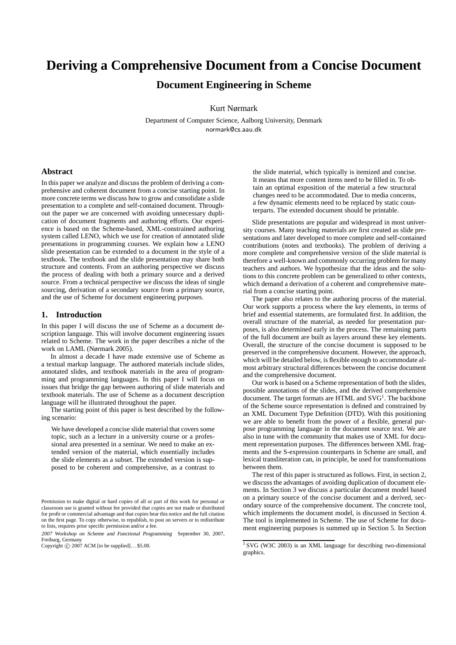# **Deriving a Comprehensive Document from a Concise Document**

**Document Engineering in Scheme**

Kurt Nørmark

Department of Computer Science, Aalborg University, Denmark normark@cs.aau.dk

## **Abstract**

In this paper we analyze and discuss the problem of deriving a comprehensive and coherent document from a concise starting point. In more concrete terms we discuss how to grow and consolidate a slide presentation to a complete and self-contained document. Throughout the paper we are concerned with avoiding unnecessary duplication of document fragments and authoring efforts. Our experience is based on the Scheme-based, XML-constrained authoring system called LENO, which we use for creation of annotated slide presentations in programming courses. We explain how a LENO slide presentation can be extended to a document in the style of a textbook. The textbook and the slide presentation may share both structure and contents. From an authoring perspective we discuss the process of dealing with both a primary source and a derived source. From a technical perspective we discuss the ideas of single sourcing, derivation of a secondary source from a primary source, and the use of Scheme for document engineering purposes.

## **1. Introduction**

In this paper I will discuss the use of Scheme as a document description language. This will involve document engineering issues related to Scheme. The work in the paper describes a niche of the work on LAML (Nørmark 2005).

In almost a decade I have made extensive use of Scheme as a textual markup language. The authored materials include slides, annotated slides, and textbook materials in the area of programming and programming languages. In this paper I will focus on issues that bridge the gap between authoring of slide materials and textbook materials. The use of Scheme as a document description language will be illustrated throughout the paper.

The starting point of this paper is best described by the following scenario:

We have developed a concise slide material that covers some topic, such as a lecture in a university course or a professional area presented in a seminar. We need to make an extended version of the material, which essentially includes the slide elements as a subset. The extended version is supposed to be coherent and comprehensive, as a contrast to the slide material, which typically is itemized and concise. It means that more content items need to be filled in. To obtain an optimal exposition of the material a few structural changes need to be accommodated. Due to media concerns, a few dynamic elements need to be replaced by static counterparts. The extended document should be printable.

Slide presentations are popular and widespread in most university courses. Many teaching materials are first created as slide presentations and later developed to more complete and self-contained contributions (notes and textbooks). The problem of deriving a more complete and comprehensive version of the slide material is therefore a well-known and commonly occurring problem for many teachers and authors. We hypothesize that the ideas and the solutions to this concrete problem can be generalized to other contexts, which demand a derivation of a coherent and comprehensive material from a concise starting point.

The paper also relates to the authoring process of the material. Our work supports a process where the key elements, in terms of brief and essential statements, are formulated first. In addition, the overall structure of the material, as needed for presentation purposes, is also determined early in the process. The remaining parts of the full document are built as layers around these key elements. Overall, the structure of the concise document is supposed to be preserved in the comprehensive document. However, the approach, which will be detailed below, is flexible enough to accommodate almost arbitrary structural differences between the concise document and the comprehensive document.

Our work is based on a Scheme representation of both the slides, possible annotations of the slides, and the derived comprehensive document. The target formats are HTML and  $\text{SVG}^1$ . The backbone of the Scheme source representation is defined and constrained by an XML Document Type Definition (DTD). With this positioning we are able to benefit from the power of a flexible, general purpose programming language in the document source text. We are also in tune with the community that makes use of XML for document representation purposes. The differences between XML fragments and the S-expression counterparts in Scheme are small, and lexical transliteration can, in principle, be used for transformations between them.

The rest of this paper is structured as follows. First, in section 2, we discuss the advantages of avoiding duplication of document elements. In Section 3 we discuss a particular document model based on a primary source of the concise document and a derived, secondary source of the comprehensive document. The concrete tool, which implements the document model, is discussed in Section 4. The tool is implemented in Scheme. The use of Scheme for document engineering purposes is summed up in Section 5. In Section

Permission to make digital or hard copies of all or part of this work for personal or classroom use is granted without fee provided that copies are not made or distributed for profit or commercial advantage and that copies bear this notice and the full citation on the first page. To copy otherwise, to republish, to post on servers or to redistribute to lists, requires prior specific permission and/or a fee.

<sup>2007</sup> Workshop on Scheme and Functional Programming September 30, 2007, Freiburg, Germany

Copyright  $\odot$  2007 ACM [to be supplied]... \$5.00.

 $1$  SVG (W3C 2003) is an XML language for describing two-dimensional graphics.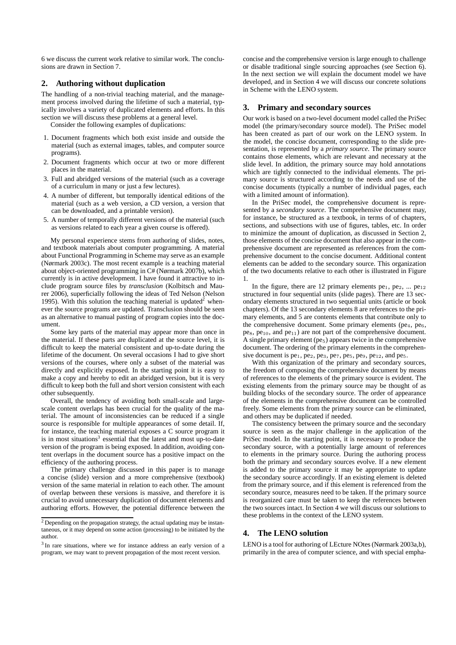6 we discuss the current work relative to similar work. The conclusions are drawn in Section 7.

### **2. Authoring without duplication**

The handling of a non-trivial teaching material, and the management process involved during the lifetime of such a material, typically involves a variety of duplicated elements and efforts. In this section we will discuss these problems at a general level.

Consider the following examples of duplications:

- 1. Document fragments which both exist inside and outside the material (such as external images, tables, and computer source programs).
- 2. Document fragments which occur at two or more different places in the material.
- 3. Full and abridged versions of the material (such as a coverage of a curriculum in many or just a few lectures).
- 4. A number of different, but temporally identical editions of the material (such as a web version, a CD version, a version that can be downloaded, and a printable version).
- 5. A number of temporally different versions of the material (such as versions related to each year a given course is offered).

My personal experience stems from authoring of slides, notes, and textbook materials about computer programming. A material about Functional Programming in Scheme may serve as an example (Nørmark 2003c). The most recent example is a teaching material about object-oriented programming in C# (Nørmark 2007b), which currently is in active development. I have found it attractive to include program source files by *transclusion* (Kolbitsch and Maurer 2006), superficially following the ideas of Ted Nelson (Nelson 1995). With this solution the teaching material is updated<sup>2</sup> whenever the source programs are updated. Transclusion should be seen as an alternative to manual pasting of program copies into the document.

Some key parts of the material may appear more than once in the material. If these parts are duplicated at the source level, it is difficult to keep the material consistent and up-to-date during the lifetime of the document. On several occasions I had to give short versions of the courses, where only a subset of the material was directly and explicitly exposed. In the starting point it is easy to make a copy and hereby to edit an abridged version, but it is very difficult to keep both the full and short version consistent with each other subsequently.

Overall, the tendency of avoiding both small-scale and largescale content overlaps has been crucial for the quality of the material. The amount of inconsistencies can be reduced if a single source is responsible for multiple appearances of some detail. If, for instance, the teaching material exposes a C source program it is in most situations<sup>3</sup> essential that the latest and most up-to-date version of the program is being exposed. In addition, avoiding content overlaps in the document source has a positive impact on the efficiency of the authoring process.

The primary challenge discussed in this paper is to manage a concise (slide) version and a more comprehensive (textbook) version of the same material in relation to each other. The amount of overlap between these versions is massive, and therefore it is crucial to avoid unnecessary duplication of document elements and authoring efforts. However, the potential difference between the concise and the comprehensive version is large enough to challenge or disable traditional single sourcing approaches (see Section 6). In the next section we will explain the document model we have developed, and in Section 4 we will discuss our concrete solutions in Scheme with the LENO system.

#### **3. Primary and secondary sources**

Our work is based on a two-level document model called the PriSec model (the primary/secondary source model). The PriSec model has been created as part of our work on the LENO system. In the model, the concise document, corresponding to the slide presentation, is represented by a *primary source*. The primary source contains those elements, which are relevant and necessary at the slide level. In addition, the primary source may hold annotations which are tightly connected to the individual elements. The primary source is structured according to the needs and use of the concise documents (typically a number of individual pages, each with a limited amount of information).

In the PriSec model, the comprehensive document is represented by a *secondary source*. The comprehensive document may, for instance, be structured as a textbook, in terms of of chapters, sections, and subsections with use of figures, tables, etc. In order to minimize the amount of duplication, as discussed in Section 2, those elements of the concise document that also appear in the comprehensive document are represented as references from the comprehensive document to the concise document. Additional content elements can be added to the secondary source. This organization of the two documents relative to each other is illustrated in Figure 1.

In the figure, there are 12 primary elements  $pe_1$ ,  $pe_2$ , ...  $pe_{12}$ structured in four sequential units (slide pages). There are 13 secondary elements structured in two sequential units (article or book chapters). Of the 13 secondary elements 8 are references to the primary elements, and 5 are contents elements that contribute only to the comprehensive document. Some primary elements ( $pe_4$ ,  $pe_6$ ,  $pe_8$ ,  $pe_{10}$ , and  $pe_{11}$ ) are not part of the comprehensive document. A single primary element  $(pe<sub>5</sub>)$  appears twice in the comprehensive document. The ordering of the primary elements in the comprehensive document is pe<sub>1</sub>, pe<sub>2</sub>, pe<sub>3</sub>, pe<sub>7</sub>, pe<sub>5</sub>, pe<sub>9</sub>, pe<sub>12</sub>, and pe<sub>5</sub>.

With this organization of the primary and secondary sources, the freedom of composing the comprehensive document by means of references to the elements of the primary source is evident. The existing elements from the primary source may be thought of as building blocks of the secondary source. The order of appearance of the elements in the comprehensive document can be controlled freely. Some elements from the primary source can be eliminated, and others may be duplicated if needed.

The consistency between the primary source and the secondary source is seen as the major challenge in the application of the PriSec model. In the starting point, it is necessary to produce the secondary source, with a potentially large amount of references to elements in the primary source. During the authoring process both the primary and secondary sources evolve. If a new element is added to the primary source it may be appropriate to update the secondary source accordingly. If an existing element is deleted from the primary source, and if this element is referenced from the secondary source, measures need to be taken. If the primary source is reorganized care must be taken to keep the references between the two sources intact. In Section 4 we will discuss our solutions to these problems in the context of the LENO system.

## **4. The LENO solution**

LENO is a tool for authoring of LEcture NOtes (Nørmark 2003a,b), primarily in the area of computer science, and with special empha-

<sup>2</sup> Depending on the propagation strategy, the actual updating may be instantaneous, or it may depend on some action (processing) to be initiated by the author.

<sup>&</sup>lt;sup>3</sup> In rare situations, where we for instance address an early version of a program, we may want to prevent propagation of the most recent version.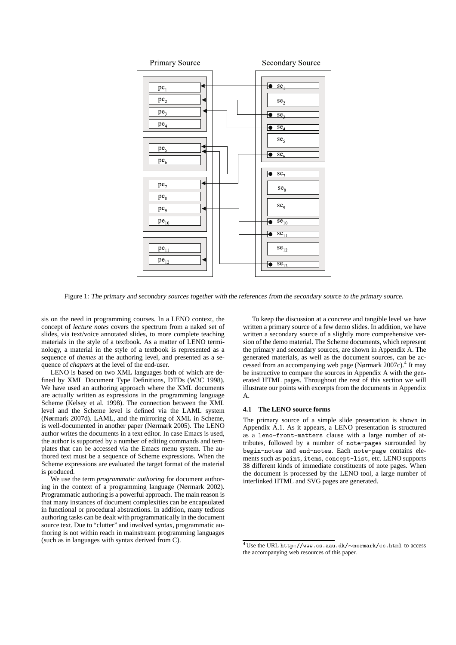

Figure 1: The primary and secondary sources together with the references from the secondary source to the primary source.

sis on the need in programming courses. In a LENO context, the concept of *lecture notes* covers the spectrum from a naked set of slides, via text/voice annotated slides, to more complete teaching materials in the style of a textbook. As a matter of LENO terminology, a material in the style of a textbook is represented as a sequence of *themes* at the authoring level, and presented as a sequence of *chapters* at the level of the end-user.

LENO is based on two XML languages both of which are defined by XML Document Type Definitions, DTDs (W3C 1998). We have used an authoring approach where the XML documents are actually written as expressions in the programming language Scheme (Kelsey et al. 1998). The connection between the XML level and the Scheme level is defined via the LAML system (Nørmark 2007d). LAML, and the mirroring of XML in Scheme, is well-documented in another paper (Nørmark 2005). The LENO author writes the documents in a text editor. In case Emacs is used, the author is supported by a number of editing commands and templates that can be accessed via the Emacs menu system. The authored text must be a sequence of Scheme expressions. When the Scheme expressions are evaluated the target format of the material is produced.

We use the term *programmatic authoring* for document authoring in the context of a programming language (Nørmark 2002). Programmatic authoring is a powerful approach. The main reason is that many instances of document complexities can be encapsulated in functional or procedural abstractions. In addition, many tedious authoring tasks can be dealt with programmatically in the document source text. Due to "clutter" and involved syntax, programmatic authoring is not within reach in mainstream programming languages (such as in languages with syntax derived from C).

To keep the discussion at a concrete and tangible level we have written a primary source of a few demo slides. In addition, we have written a secondary source of a slightly more comprehensive version of the demo material. The Scheme documents, which represent the primary and secondary sources, are shown in Appendix A. The generated materials, as well as the document sources, can be accessed from an accompanying web page (Nørmark 2007c).<sup>4</sup> It may be instructive to compare the sources in Appendix A with the generated HTML pages. Throughout the rest of this section we will illustrate our points with excerpts from the documents in Appendix A.

#### **4.1 The LENO source forms**

The primary source of a simple slide presentation is shown in Appendix A.1. As it appears, a LENO presentation is structured as a leno-front-matters clause with a large number of attributes, followed by a number of note-pages surrounded by begin-notes and end-notes. Each note-page contains elements such as point, items, concept-list, etc. LENO supports 38 different kinds of immediate constituents of note pages. When the document is processed by the LENO tool, a large number of interlinked HTML and SVG pages are generated.

<sup>4</sup> Use the URL http://www.cs.aau.dk/∼normark/cc.html to access the accompanying web resources of this paper.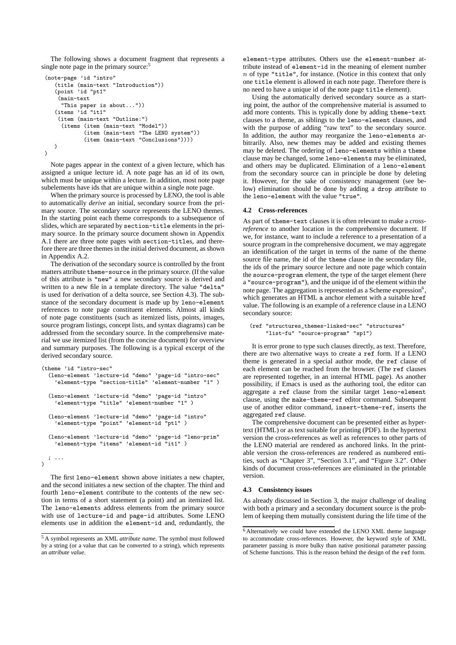The following shows a document fragment that represents a single note page in the primary source:<sup>5</sup>

```
(note-page 'id "intro"
   (title (main-text "Introduction"))
   (point 'id "pt1"
    (main-text
     "This paper is about..."))
   (items 'id "it1"
    (item (main-text "Outline:")
     (items (item (main-text "Model"))
             (item (main-text "The LENO system"))
             (item (main-text "Conclusions"))))
  \rightarrow\lambda
```
Note pages appear in the context of a given lecture, which has assigned a unique lecture id. A note page has an id of its own, which must be unique within a lecture. In addition, most note page subelements have ids that are unique within a single note page.

When the primary source is processed by LENO, the tool is able to automatically *derive* an initial, secondary source from the primary source. The secondary source represents the LENO themes. In the starting point each theme corresponds to a subsequence of slides, which are separated by section-title elements in the primary source. In the primary source document shown in Appendix A.1 there are three note pages with section-titles, and therefore there are three themes in the initial derived document, as shown in Appendix A.2.

The derivation of the secondary source is controlled by the front matters attribute theme-source in the primary source. (If the value of this attribute is "new" a new secondary source is derived and written to a new file in a template directory. The value "delta" is used for derivation of a delta source, see Section 4.3). The substance of the secondary document is made up by leno-element references to note page constituent elements. Almost all kinds of note page constituents (such as itemized lists, points, images, source program listings, concept lists, and syntax diagrams) can be addressed from the secondary source. In the comprehensive material we use itemized list (from the concise document) for overview and summary purposes. The following is a typical excerpt of the derived secondary source.

```
(theme 'id "intro-sec"
  (leno-element 'lecture-id "demo" 'page-id "intro-sec"
    'element-type "section-title" 'element-number "1" )
  (leno-element 'lecture-id "demo" 'page-id "intro"
    'element-type "title" 'element-number "1" )
  (leno-element 'lecture-id "demo" 'page-id "intro"
    'element-type "point" 'element-id "pt1" )
  (leno-element 'lecture-id "demo" 'page-id "leno-prim"
    'element-type "items" 'element-id "it1" )
 ; ...
\lambda
```
The first leno-element shown above initiates a new chapter, and the second initiates a new section of the chapter. The third and fourth leno-element contribute to the contents of the new section in terms of a short statement (a point) and an itemized list. The leno-elements address elements from the primary source with use of lecture-id and page-id attributes. Some LENO elements use in addition the element-id and, redundantly, the element-type attributes. Others use the element-number attribute instead of element-id in the meaning of element number  $n$  of type "title", for instance. (Notice in this context that only one title element is allowed in each note page. Therefore there is no need to have a unique id of the note page title element).

Using the automatically derived secondary source as a starting point, the author of the comprehensive material is assumed to add more contents. This is typically done by adding theme-text clauses to a theme, as siblings to the leno-element clauses, and with the purpose of adding "raw text" to the secondary source. In addition, the author may reorganize the leno-elements arbitrarily. Also, new themes may be added and existing themes may be deleted. The ordering of leno-elements within a theme clause may be changed, some leno-elements may be eliminated, and others may be duplicated. Elimination of a leno-element from the secondary source can in principle be done by deleting it. However, for the sake of consistency management (see below) elimination should be done by adding a drop attribute to the leno-element with the value "true".

### **4.2 Cross-references**

As part of theme-text clauses it is often relevant to make a *crossreference* to another location in the comprehensive document. If we, for instance, want to include a reference to a presentation of a source program in the comprehensive document, we may aggregate an identification of the target in terms of the name of the theme source file name, the id of the theme clause in the secondary file, the ids of the primary source lecture and note page which contain the source-program element, the type of the target element (here a "source-program"), and the unique id of the element within the note page. The aggregation is represented as a Scheme expression  $6$ , which generates an HTML a anchor element with a suitable href value. The following is an example of a reference clause in a LENO secondary source:

```
(ref "structures_themes-linked-sec" "structures"
    "list-fu" "source-program" "sp1")
```
It is error prone to type such clauses directly, as text. Therefore, there are two alternative ways to create a ref form. If a LENO theme is generated in a special author mode, the ref clause of each element can be reached from the browser. (The ref clauses are represented together, in an internal HTML page). As another possibility, if Emacs is used as the authoring tool, the editor can aggregate a ref clause from the similar target leno-element clause, using the make-theme-ref editor command. Subsequent use of another editor command, insert-theme-ref, inserts the aggregated ref clause.

The comprehensive document can be presented either as hypertext (HTML) or as text suitable for printing (PDF). In the hypertext version the cross-references as well as references to other parts of the LENO material are rendered as anchored links. In the printable version the cross-references are rendered as numbered entities, such as "Chapter 3", "Section 3.1", and "Figure 3.2". Other kinds of document cross-references are eliminated in the printable version.

#### **4.3 Consistency issues**

As already discussed in Section 3, the major challenge of dealing with both a primary and a secondary document source is the problem of keeping them mutually consistent during the life time of the

<sup>5</sup> A symbol represents an XML *attribute name*. The symbol must followed by a string (or a value that can be converted to a string), which represents an *attribute value*.

<sup>6</sup> Alternatively we could have extended the LENO XML theme language to accommodate cross-references. However, the keyword style of XML parameter passing is more bulky than native positional parameter passing of Scheme functions. This is the reason behind the design of the ref form.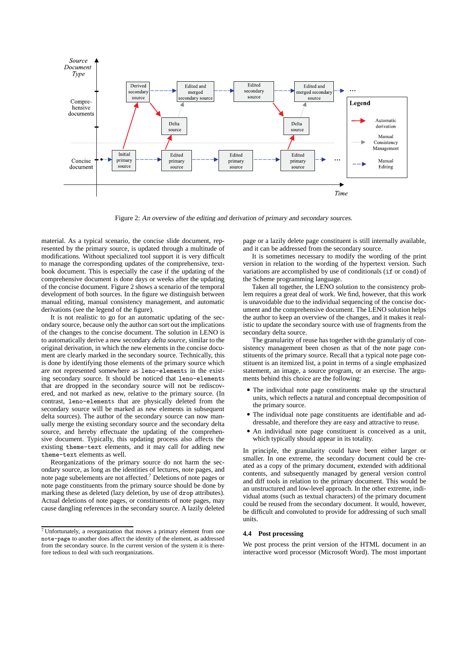

Figure 2: An overview of the editing and derivation of primary and secondary sources.

material. As a typical scenario, the concise slide document, represented by the primary source, is updated through a multitude of modifications. Without specialized tool support it is very difficult to manage the corresponding updates of the comprehensive, textbook document. This is especially the case if the updating of the comprehensive document is done days or weeks after the updating of the concise document. Figure 2 shows a scenario of the temporal development of both sources. In the figure we distinguish between manual editing, manual consistency management, and automatic derivations (see the legend of the figure).

It is not realistic to go for an automatic updating of the secondary source, because only the author can sort out the implications of the changes to the concise document. The solution in LENO is to automatically derive a new secondary *delta source*, similar to the original derivation, in which the new elements in the concise document are clearly marked in the secondary source. Technically, this is done by identifying those elements of the primary source which are not represented somewhere as leno-elements in the existing secondary source. It should be noticed that leno-elements that are dropped in the secondary source will not be rediscovered, and not marked as new, relative to the primary source. (In contrast, leno-elements that are physically deleted from the secondary source will be marked as new elements in subsequent delta sources). The author of the secondary source can now manually merge the existing secondary source and the secondary delta source, and hereby effectuate the updating of the comprehensive document. Typically, this updating process also affects the existing theme-text elements, and it may call for adding new theme-text elements as well.

Reorganizations of the primary source do not harm the secondary source, as long as the identities of lectures, note pages, and note page subelements are not affected.<sup>7</sup> Deletions of note pages or note page constituents from the primary source should be done by marking these as deleted (lazy deletion, by use of drop attributes). Actual deletions of note pages, or constituents of note pages, may cause dangling references in the secondary source. A lazily deleted page or a lazily delete page constituent is still internally available, and it can be addressed from the secondary source.

It is sometimes necessary to modify the wording of the print version in relation to the wording of the hypertext version. Such variations are accomplished by use of conditionals (if or cond) of the Scheme programming language.

Taken all together, the LENO solution to the consistency problem requires a great deal of work. We find, however, that this work is unavoidable due to the individual sequencing of the concise document and the comprehensive document. The LENO solution helps the author to keep an overview of the changes, and it makes it realistic to update the secondary source with use of fragments from the secondary delta source.

The granularity of reuse has together with the granulariy of consistency management been chosen as that of the note page constituents of the primary source. Recall that a typical note page constituent is an itemized list, a point in terms of a single emphasized statement, an image, a source program, or an exercise. The arguments behind this choice are the following:

- The individual note page constituents make up the structural units, which reflects a natural and conceptual decomposition of the primary source.
- The individual note page constituents are identifiable and addressable, and therefore they are easy and attractive to reuse.
- An individual note page constituent is conceived as a unit, which typically should appear in its totality.

In principle, the granularity could have been either larger or smaller. In one extreme, the secondary document could be created as a copy of the primary document, extended with additional contents, and subsequently managed by general version control and diff tools in relation to the primary document. This would be an unstructured and low-level approach. In the other extreme, individual atoms (such as textual characters) of the primary document could be reused from the secondary document. It would, however, be difficult and convoluted to provide for addressing of such small units.

#### **4.4 Post processing**

We post process the print version of the HTML document in an interactive word processor (Microsoft Word). The most important

<sup>7</sup> Unfortunately, a reorganization that moves a primary element from one note-page to another does affect the identity of the element, as addressed from the secondary source. In the current version of the system it is therefore tedious to deal with such reorganizations.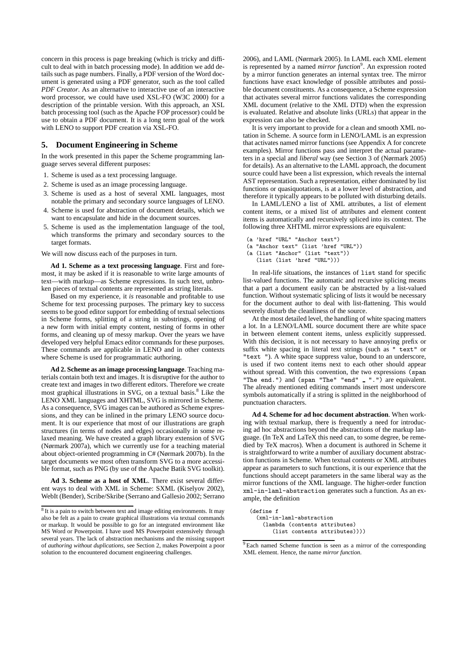concern in this process is page breaking (which is tricky and difficult to deal with in batch processing mode). In addition we add details such as page numbers. Finally, a PDF version of the Word document is generated using a PDF generator, such as the tool called *PDF Creator*. As an alternative to interactive use of an interactive word processor, we could have used XSL-FO (W3C 2000) for a description of the printable version. With this approach, an XSL batch processing tool (such as the Apache FOP processor) could be use to obtain a PDF document. It is a long term goal of the work with LENO to support PDF creation via XSL-FO.

## **5. Document Engineering in Scheme**

In the work presented in this paper the Scheme programming language serves several different purposes:

- 1. Scheme is used as a text processing language.
- 2. Scheme is used as an image processing language.
- 3. Scheme is used as a host of several XML languages, most notable the primary and secondary source languages of LENO.
- 4. Scheme is used for abstraction of document details, which we want to encapsulate and hide in the document sources.
- 5. Scheme is used as the implementation language of the tool, which transforms the primary and secondary sources to the target formats.

We will now discuss each of the purposes in turn.

**Ad 1. Scheme as a text processing language**. First and foremost, it may be asked if it is reasonable to write large amounts of text—with markup—as Scheme expressions. In such text, unbroken pieces of textual contents are represented as string literals.

Based on my experience, it *is* reasonable and profitable to use Scheme for text processing purposes. The primary key to success seems to be good editor support for embedding of textual selections in Scheme forms, splitting of a string in substrings, opening of a new form with initial empty content, nesting of forms in other forms, and cleaning up of messy markup. Over the years we have developed very helpful Emacs editor commands for these purposes. These commands are applicable in LENO and in other contexts where Scheme is used for programmatic authoring.

**Ad 2. Scheme as an image processing language**. Teaching materials contain both text and images. It is disruptive for the author to create text and images in two different editors. Therefore we create most graphical illustrations in SVG, on a textual basis.<sup>8</sup> Like the LENO XML languages and XHTML, SVG is mirrored in Scheme. As a consequence, SVG images can be authored as Scheme expressions, and they can be inlined in the primary LENO source document. It is our experience that most of our illustrations are graph structures (in terms of nodes and edges) occasionally in some relaxed meaning. We have created a graph library extension of SVG (Nørmark 2007a), which we currently use for a teaching material about object-oriented programming in C# (Nørmark 2007b). In the target documents we most often transform SVG to a more accessible format, such as PNG (by use of the Apache Batik SVG toolkit).

**Ad 3. Scheme as a host of XML**. There exist several different ways to deal with XML in Scheme: SXML (Kiselyov 2002), WebIt (Bender), Scribe/Skribe (Serrano and Gallesio 2002; Serrano 2006), and LAML (Nørmark 2005). In LAML each XML element is represented by a named *mirror function*<sup>9</sup>. An expression rooted by a mirror function generates an internal syntax tree. The mirror functions have exact knowledge of possible attributes and possible document constituents. As a consequence, a Scheme expression that activates several mirror functions validates the corresponding XML document (relative to the XML DTD) when the expression is evaluated. Relative and absolute links (URLs) that appear in the expression can also be checked.

It is very important to provide for a clean and smooth XML notation in Scheme. A source form in LENO/LAML is an expression that activates named mirror functions (see Appendix A for concrete examples). Mirror functions pass and interpret the actual parameters in a special and *liberal* way (see Section 3 of (Nørmark 2005) for details). As an alternative to the LAML approach, the document source could have been a list expression, which reveals the internal AST representation. Such a representation, either dominated by list functions or quasiquotations, is at a lower level of abstraction, and therefore it typically appears to be polluted with disturbing details.

In LAML/LENO a list of XML attributes, a list of element content items, or a mixed list of attributes and element content items is automatically and recursively spliced into its context. The following three XHTML mirror expressions are equivalent:

- (a 'href "URL" "Anchor text")
- (a "Anchor text" (list 'href "URL"))
- (a (list "Anchor" (list "text"))
- (list (list 'href "URL")))

In real-life situations, the instances of list stand for specific list-valued functions. The automatic and recursive splicing means that a part a document easily can be abstracted by a list-valued function. Without systematic splicing of lists it would be necessary for the document author to deal with list-flattening. This would severely disturb the cleanliness of the source.

At the most detailed level, the handling of white spacing matters a lot. In a LENO/LAML source document there are white space in between element content items, unless explicitly suppressed. With this decision, it is not necessary to have annoying prefix or suffix white spacing in literal text strings (such as " text" or "text "). A white space suppress value, bound to an underscore, is used if two content items next to each other should appear without spread. With this convention, the two expressions (span "The end.") and (span "The" "end" \_ ".") are equivalent. The already mentioned editing commands insert most underscore symbols automatically if a string is splitted in the neighborhood of punctuation characters.

**Ad 4. Scheme for ad hoc document abstraction**. When working with textual markup, there is frequently a need for introducing ad hoc abstractions beyond the abstractions of the markup language. (In TeX and LaTeX this need can, to some degree, be remedied by TeX macros). When a document is authored in Scheme it is straightforward to write a number of auxiliary document abstraction functions in Scheme. When textual contents or XML attributes appear as parameters to such functions, it is our experience that the functions should accept parameters in the same liberal way as the mirror functions of the XML language. The higher-order function xml-in-laml-abstraction generates such a function. As an example, the definition

```
(define f
  (xml-in-laml-abstraction
    (lambda (contents attributes)
       (list contents attributes))))
```
<sup>&</sup>lt;sup>8</sup> It is a pain to switch between text and image editing environments. It may also be felt as a pain to create graphical illustrations via textual commands or markup. It would be possible to go for an integrated environment like MS Word or Powerpoint. I have used MS Powerpoint extensively through several years. The lack of abstraction mechanisms and the missing support of *authoring without duplications*, see Section 2, makes Powerpoint a poor solution to the encountered document engineering challenges.

<sup>&</sup>lt;sup>9</sup> Each named Scheme function is seen as a mirror of the corresponding XML element. Hence, the name *mirror function*.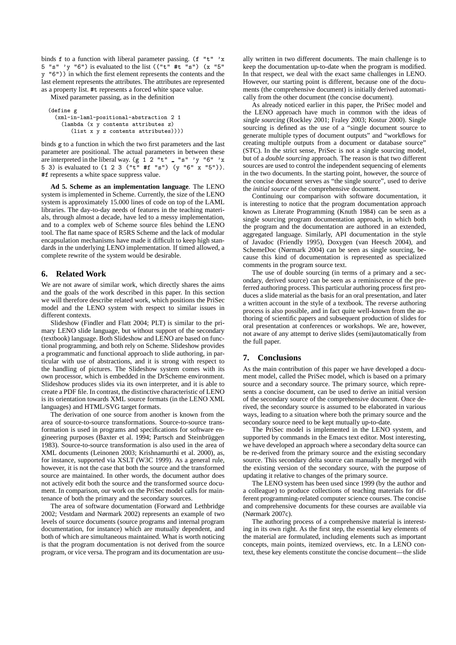binds f to a function with liberal parameter passing. (f "t" 'x  $5$  "s" 'y "6") is evaluated to the list (("t" #t "s") (x "5" y "6")) in which the first element represents the contents and the last element represents the attributes. The attributes are represented as a property list. #t represents a forced white space value.

Mixed parameter passing, as in the definition

```
(define g
  (xml-in-laml-positional-abstraction 2 1
    (lambda (x y contents attributes z)
       (list x y z contents attributes))))
```
binds g to a function in which the two first parameters and the last parameter are positional. The actual parameters in between these are interpreted in the liberal way.  $(g \ 1 \ 2 \$  "t"  $\blacksquare$  "s" 'y "6" 'x 5 3) is evaluated to (1 2 3 ("t" #f "s") (y "6" x "5")). #f represents a white space suppress value.

**Ad 5. Scheme as an implementation language**. The LENO system is implemented in Scheme. Currently, the size of the LENO system is approximately 15.000 lines of code on top of the LAML libraries. The day-to-day needs of features in the teaching materials, through almost a decade, have led to a messy implementation, and to a complex web of Scheme source files behind the LENO tool. The flat name space of R5RS Scheme and the lack of modular encapsulation mechanisms have made it difficult to keep high standards in the underlying LENO implementation. If timed allowed, a complete rewrite of the system would be desirable.

## **6. Related Work**

We are not aware of similar work, which directly shares the aims and the goals of the work described in this paper. In this section we will therefore describe related work, which positions the PriSec model and the LENO system with respect to similar issues in different contexts.

Slideshow (Findler and Flatt 2004; PLT) is similar to the primary LENO slide language, but without support of the secondary (textbook) language. Both Slideshow and LENO are based on functional programming, and both rely on Scheme. Slideshow provides a programmatic and functional approach to slide authoring, in particular with use of abstractions, and it is strong with respect to the handling of pictures. The Slideshow system comes with its own processor, which is embedded in the DrScheme environment. Slideshow produces slides via its own interpreter, and it is able to create a PDF file. In contrast, the distinctive characteristic of LENO is its orientation towards XML source formats (in the LENO XML languages) and HTML/SVG target formats.

The derivation of one source from another is known from the area of source-to-source transformations. Source-to-source transformation is used in programs and specifications for software engineering purposes (Baxter et al. 1994; Partsch and Steinbrüggen 1983). Source-to-source transformation is also used in the area of XML documents (Leinonen 2003; Krishnamurthi et al. 2000), as, for instance, supported via XSLT (W3C 1999). As a general rule, however, it is not the case that both the source and the transformed source are maintained. In other words, the document author does not actively edit both the source and the transformed source document. In comparison, our work on the PriSec model calls for maintenance of both the primary and the secondary sources.

The area of software documentation (Forward and Lethbridge 2002; Vestdam and Nørmark 2002) represents an example of two levels of source documents (source programs and internal program documentation, for instance) which are mutually dependent, and both of which are simultaneous maintained. What is worth noticing is that the program documentation is not derived from the source program, or vice versa. The program and its documentation are usually written in two different documents. The main challenge is to keep the documentation up-to-date when the program is modified. In that respect, we deal with the exact same challenges in LENO. However, our starting point is different, because one of the documents (the comprehensive document) is initially derived automatically from the other document (the concise document).

As already noticed earlier in this paper, the PriSec model and the LENO approach have much in common with the ideas of single sourcing (Rockley 2001; Fraley 2003; Kostur 2000). Single sourcing is defined as the use of a "single document source to generate multiple types of document outputs" and "workflows for creating multiple outputs from a document or database source" (STC). In the strict sense, PriSec is not a single sourcing model, but of a *double sourcing* approach. The reason is that two different sources are used to control the independent sequencing of elements in the two documents. In the starting point, however, the source of the concise document serves as "the single source", used to derive the *initial source* of the comprehensive document.

Continuing our comparison with software documentation, it is interesting to notice that the program documentation approach known as Literate Programming (Knuth 1984) can be seen as a single sourcing program documentation approach, in which both the program and the documentation are authored in an extended, aggregated language. Similarly, API documentation in the style of Javadoc (Friendly 1995), Doxygen (van Heesch 2004), and SchemeDoc (Nørmark 2004) can be seen as single sourcing, because this kind of documentation is represented as specialized comments in the program source text.

The use of double sourcing (in terms of a primary and a secondary, derived source) can be seen as a reminiscence of the preferred authoring process. This particular authoring process first produces a slide material as the basis for an oral presentation, and later a written account in the style of a textbook. The reverse authoring process is also possible, and in fact quite well-known from the authoring of scientific papers and subsequent production of slides for oral presentation at conferences or workshops. We are, however, not aware of any attempt to derive slides (semi)automatically from the full paper.

#### **7. Conclusions**

As the main contribution of this paper we have developed a document model, called the PriSec model, which is based on a primary source and a secondary source. The primary source, which represents a concise document, can be used to derive an initial version of the secondary source of the comprehensive document. Once derived, the secondary source is assumed to be elaborated in various ways, leading to a situation where both the primary source and the secondary source need to be kept mutually up-to-date.

The PriSec model is implemented in the LENO system, and supported by commands in the Emacs text editor. Most interesting, we have developed an approach where a secondary delta source can be re-derived from the primary source and the existing secondary source. This secondary delta source can manually be merged with the existing version of the secondary source, with the purpose of updating it relative to changes of the primary source.

The LENO system has been used since 1999 (by the author and a colleague) to produce collections of teaching materials for different programming-related computer science courses. The concise and comprehensive documents for these courses are available via (Nørmark 2007c).

The authoring process of a comprehensive material is interesting in its own right. As the first step, the essential key elements of the material are formulated, including elements such as important concepts, main points, itemized overviews, etc. In a LENO context, these key elements constitute the concise document—the slide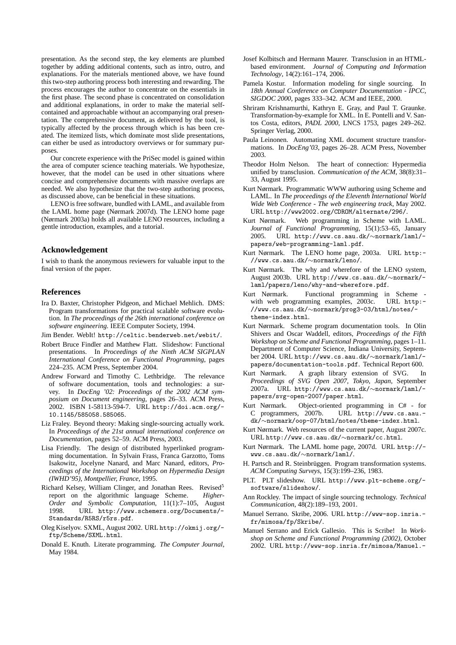presentation. As the second step, the key elements are plumbed together by adding additional contents, such as intro, outro, and explanations. For the materials mentioned above, we have found this two-step authoring process both interesting and rewarding. The process encourages the author to concentrate on the essentials in the first phase. The second phase is concentrated on consolidation and additional explanations, in order to make the material selfcontained and approachable without an accompanying oral presentation. The comprehensive document, as delivered by the tool, is typically affected by the process through which is has been created. The itemized lists, which dominate most slide presentations, can either be used as introductory overviews or for summary purposes.

Our concrete experience with the PriSec model is gained within the area of computer science teaching materials. We hypothesize, however, that the model can be used in other situations where concise and comprehensive documents with massive overlaps are needed. We also hypothesize that the two-step authoring process, as discussed above, can be beneficial in these situations.

LENO is free software, bundled with LAML, and available from the LAML home page (Nørmark 2007d). The LENO home page (Nørmark 2003a) holds all available LENO resources, including a gentle introduction, examples, and a tutorial.

#### **Acknowledgement**

I wish to thank the anonymous reviewers for valuable input to the final version of the paper.

## **References**

- Ira D. Baxter, Christopher Pidgeon, and Michael Mehlich. DMS: Program transformations for practical scalable software evolution. In *The proceedings of the 26th international conference on software engineering*. IEEE Computer Society, 1994.
- Jim Bender. WebIt! http://celtic.benderweb.net/webit/.
- Robert Bruce Findler and Matthew Flatt. Slideshow: Functional presentations. In *Proceedings of the Ninth ACM SIGPLAN International Conference on Functional Programming*, pages 224–235. ACM Press, September 2004.
- Andrew Forward and Timothy C. Lethbridge. The relevance of software documentation, tools and technologies: a survey. In *DocEng '02: Proceedings of the 2002 ACM symposium on Document engineering*, pages 26–33. ACM Press, 2002. ISBN 1-58113-594-7. URL http://doi.acm.org/- 10.1145/585058.585065.
- Liz Fraley. Beyond theory: Making single-sourcing actually work. In *Proceedings of the 21st annual international conference on Documentation*, pages 52–59. ACM Press, 2003.
- Lisa Friendly. The design of distributed hyperlinked programming documentation. In Sylvain Frass, Franca Garzotto, Toms Isakowitz, Jocelyne Nanard, and Marc Nanard, editors, *Proceedings of the International Workshop on Hypermedia Design (IWHD'95), Montpellier, France*, 1995.
- Richard Kelsey, William Clinger, and Jonathan Rees. Revised<sup>5</sup> report on the algorithmic language Scheme. *Higher-Order and Symbolic Computation*, 11(1):7–105, August 1998. URL http://www.schemers.org/Documents/- Standards/R5RS/r5rs.pdf.
- Oleg Kiselyov. SXML, August 2002. URL http://okmij.org/ ftp/Scheme/SXML.html.
- Donald E. Knuth. Literate programming. *The Computer Journal*, May 1984.
- Josef Kolbitsch and Hermann Maurer. Transclusion in an HTMLbased environment. *Journal of Computing and Information Technology*, 14(2):161–174, 2006.
- Pamela Kostur. Information modeling for single sourcing. In *18th Annual Conference on Computer Documentation - IPCC, SIGDOC 2000*, pages 333–342. ACM and IEEE, 2000.
- Shriram Krishnamurthi, Kathryn E. Gray, and Paul T. Graunke. Transformation-by-example for XML. In E. Pontelli and V. Santos Costa, editors, *PADL 2000*, LNCS 1753, pages 249–262. Springer Verlag, 2000.
- Paula Leinonen. Automating XML document structure transformations. In *DocEng'03*, pages 26–28. ACM Press, November 2003.
- Theodor Holm Nelson. The heart of connection: Hypermedia unified by transclusion. *Communication of the ACM*, 38(8):31– 33, August 1995.
- Kurt Nørmark. Programmatic WWW authoring using Scheme and LAML. In *The proceedings of the Eleventh International World Wide Web Conference - The web engineering track*, May 2002. URL http://www2002.org/CDROM/alternate/296/.
- Kurt Nørmark. Web programming in Scheme with LAML. *Journal of Functional Programming*, 15(1):53–65, January 2005. URL http://www.cs.aau.dk/∼normark/laml/ papers/web-programming-laml.pdf.
- Kurt Nørmark. The LENO home page, 2003a. URL http:- //www.cs.aau.dk/∼normark/leno/.
- Kurt Nørmark. The why and wherefore of the LENO system, August 2003b. URL http://www.cs.aau.dk/∼normark/ laml/papers/leno/why-and-wherefore.pdf.
- Kurt Nørmark. Functional programming in Scheme with web programming examples, 2003c. URL http:- //www.cs.aau.dk/∼normark/prog3-03/html/notes/ theme-index.html.
- Kurt Nørmark. Scheme program documentation tools. In Olin Shivers and Oscar Waddell, editors, *Proceedings of the Fifth Workshop on Scheme and Functional Programming*, pages 1–11. Department of Computer Science, Indiana University, September 2004. URL http://www.cs.aau.dk/∼normark/laml/ papers/documentation-tools.pdf. Technical Report 600.
- Kurt Nørmark. A graph library extension of SVG. In *Proceedings of SVG Open 2007, Tokyo, Japan*, September 2007a. URL http://www.cs.aau.dk/∼normark/laml/ papers/svg-open-2007/paper.html.
- Kurt Nørmark. Object-oriented programming in C# for C programmers, 2007b. URL http://www.cs.aau. dk/∼normark/oop-07/html/notes/theme-index.html.
- Kurt Nørmark. Web resources of the current paper, August 2007c. URL http://www.cs.aau.dk/∼normark/cc.html.
- Kurt Nørmark. The LAML home page, 2007d. URL http:// www.cs.aau.dk/∼normark/laml/.
- H. Partsch and R. Steinbrüggen. Program transformation systems. *ACM Computing Surveys*, 15(3):199–236, 1983.
- PLT. PLT slideshow. URL http://www.plt-scheme.org/ software/slideshow/.
- Ann Rockley. The impact of single sourcing technology. *Technical Communication*, 48(2):189–193, 2001.
- Manuel Serrano. Skribe, 2006. URL http://www-sop.inria. fr/mimosa/fp/Skribe/.
- Manuel Serrano and Erick Gallesio. This is Scribe! In *Workshop on Scheme and Functional Programming (2002)*, October 2002. URL http://www-sop.inria.fr/mimosa/Manuel.-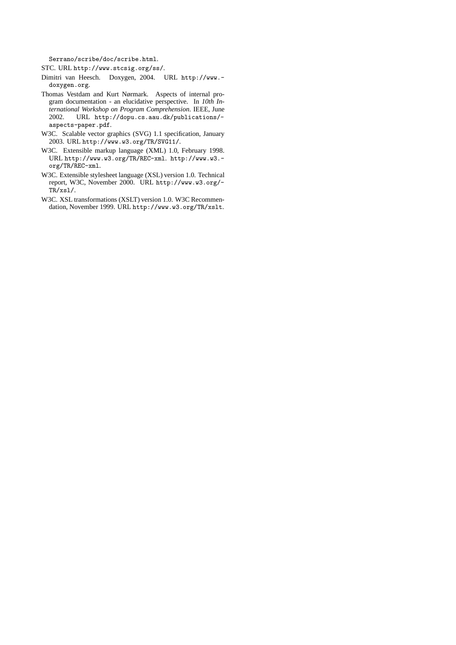Serrano/scribe/doc/scribe.html.

STC. URL http://www.stcsig.org/ss/.

- Dimitri van Heesch. Doxygen, 2004. URL http://www. doxygen.org.
- Thomas Vestdam and Kurt Nørmark. Aspects of internal program documentation - an elucidative perspective. In *10th International Workshop on Program Comprehension*. IEEE, June 2002. URL http://dopu.cs.aau.dk/publications/ aspects-paper.pdf.
- W3C. Scalable vector graphics (SVG) 1.1 specification, January 2003. URL http://www.w3.org/TR/SVG11/.
- W3C. Extensible markup language (XML) 1.0, February 1998. URL http://www.w3.org/TR/REC-xml. http://www.w3. org/TR/REC-xml.
- W3C. Extensible stylesheet language (XSL) version 1.0. Technical report, W3C, November 2000. URL http://www.w3.org/- TR/xsl/.
- W3C. XSL transformations (XSLT) version 1.0. W3C Recommendation, November 1999. URL http://www.w3.org/TR/xslt.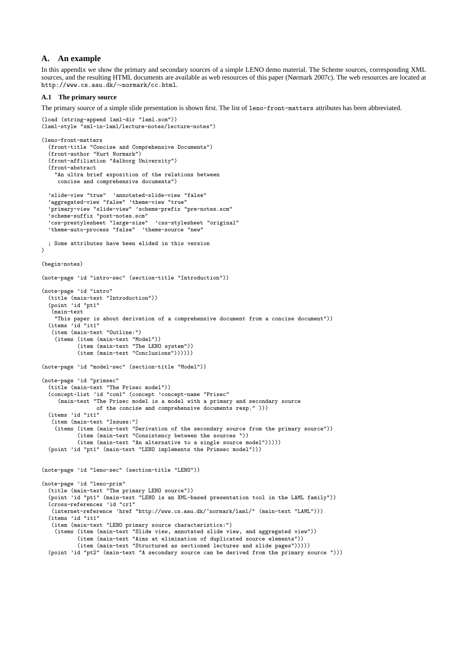## **A. An example**

In this appendix we show the primary and secondary sources of a simple LENO demo material. The Scheme sources, corresponding XML sources, and the resulting HTML documents are available as web resources of this paper (Nørmark 2007c). The web resources are located at http://www.cs.aau.dk/∼normark/cc.html.

## **A.1 The primary source**

The primary source of a simple slide presentation is shown first. The list of leno-front-matters attributes has been abbreviated.

```
(load (string-append laml-dir "laml.scm"))
(laml-style "xml-in-laml/lecture-notes/lecture-notes")
(leno-front-matters
  (front-title "Concise and Comprehensive Documents")
  (front-author "Kurt Normark")
  (front-affiliation "Aalborg University")
  (front-abstract
    "An ultra brief exposition of the relations between
    concise and comprehensive documents")
  'slide-view "true" 'annotated-slide-view "false"
  'aggregated-view "false" 'theme-view "true"
  'primary-view "slide-view" 'scheme-prefix "pre-notes.scm"
  'scheme-suffix "post-notes.scm"
  'css-prestylesheet "large-size" 'css-stylesheet "original"
  'theme-auto-process "false" 'theme-source "new"
 ; Some attributes have been elided in this version
\lambda(begin-notes)
(note-page 'id "intro-sec" (section-title "Introduction"))
(note-page 'id "intro"
  (title (main-text "Introduction"))
  (point 'id "pt1"
   (main-text
    "This paper is about derivation of a comprehensive document from a concise document"))
  (items 'id "it1"
   (item (main-text "Outline:")
    (items (item (main-text "Model"))
           (item (main-text "The LENO system"))
           (item (main-text "Conclusions"))))))
(note-page 'id "model-sec" (section-title "Model"))
(note-page 'id "primsec"
  (title (main-text "The Prisec model"))
  (concept-list 'id "con1" (concept 'concept-name "Prisec"
     (main-text "The Prisec model is a model with a primary and secondary source
                 of the concise and comprehensive documents resp." )))
  (items 'id "it1"
   (item (main-text "Issues:")
    (items (item (main-text "Derivation of the secondary source from the primary source"))
           (item (main-text "Consistency between the sources "))
           (item (main-text "An alternative to a single source model")))))
  (point 'id "pt1" (main-text "LENO implements the Primsec model")))
(note-page 'id "leno-sec" (section-title "LENO"))
(note-page 'id "leno-prim"
  (title (main-text "The primary LENO source"))
  (point 'id "pt1" (main-text "LENO is an XML-based presentation tool in the LAML family"))
  (cross-references 'id "cr1"
   (internet-reference 'href "http://www.cs.aau.dk/~normark/laml/" (main-text "LAML")))
  (items 'id "it1"
   (item (main-text "LENO primary source characteristics:")
    (items (item (main-text "Slide view, annotated slide view, and aggregated view"))
           (item (main-text "Aims at elimination of duplicated source elements"))
           (item (main-text "Structured as sectioned lectures and slide pages")))))
  (point 'id "pt2" (main-text "A secondary source can be derived from the primary source ")))
```